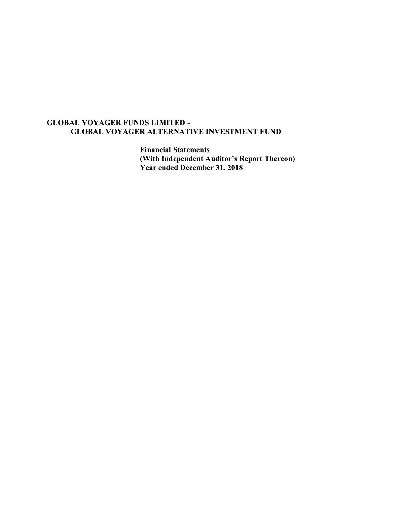**Financial Statements (With Independent Auditor's Report Thereon) Year ended December 31, 2018**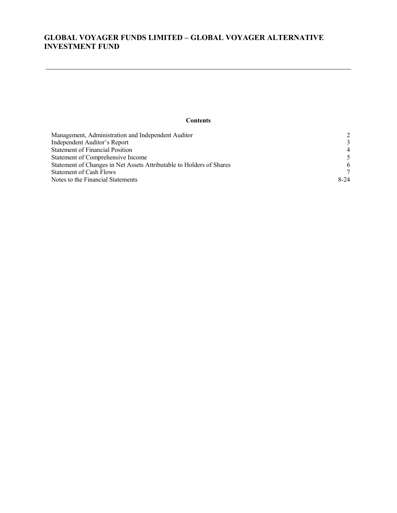## **Contents**

| Management, Administration and Independent Auditor                   | $\mathcal{D}$  |
|----------------------------------------------------------------------|----------------|
| Independent Auditor's Report                                         | $\mathcal{R}$  |
| <b>Statement of Financial Position</b>                               | $\overline{4}$ |
| Statement of Comprehensive Income                                    | $\sim$         |
| Statement of Changes in Net Assets Attributable to Holders of Shares | 6              |
| <b>Statement of Cash Flows</b>                                       | 7              |
| Notes to the Financial Statements                                    | $8-24$         |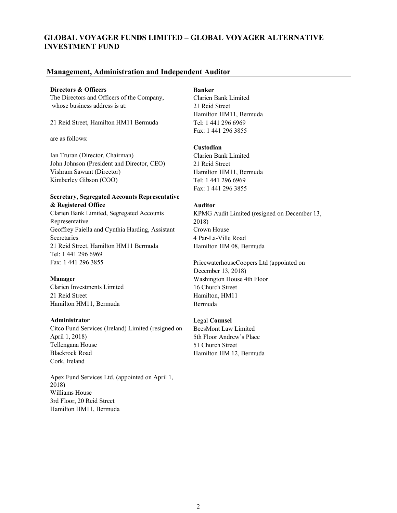## **Management, Administration and Independent Auditor**

#### **Directors & Officers Banker**

The Directors and Officers of the Company, Clarien Bank Limited whose business address is at: 21 Reid Street

21 Reid Street, Hamilton HM11 Bermuda<br>
Tel: 1 441 296 6969

are as follows:

Ian Truran (Director, Chairman) Clarien Bank Limited John Johnson (President and Director, CEO) 21 Reid Street Vishram Sawant (Director) Hamilton HM11, Bermuda Kimberley Gibson (COO) Tel: 1 441 296 6969

## **Secretary, Segregated Accounts Representative & Registered Office Auditor**

Clarien Bank Limited, Segregated Accounts KPMG Audit Limited (resigned on December 13, Representative 2018) Geoffrey Faiella and Cynthia Harding, Assistant Crown House Secretaries 4 Par-La-Ville Road 21 Reid Street, Hamilton HM11 Bermuda<br>
Hamilton HM 08, Bermuda Tel: 1 441 296 6969

Clarien Investments Limited 16 Church Street 21 Reid Street Hamilton, HM11 Hamilton HM11, Bermuda<br>Bermuda

Citco Fund Services (Ireland) Limited (resigned on BeesMont Law Limited April 1, 2018) 5th Floor Andrew's Place Tellengana House 51 Church Street Blackrock Road Hamilton HM 12, Bermuda Cork, Ireland

Apex Fund Services Ltd. (appointed on April 1, 2018) Williams House 3rd Floor, 20 Reid Street Hamilton HM11, Bermuda

Hamilton HM11, Bermuda Fax: 1 441 296 3855

## **Custodian**

Fax: 1 441 296 3855

Fax: 1 441 296 3855 PricewaterhouseCoopers Ltd (appointed on December 13, 2018) **Manager Washington House 4th Floor** 

## **Administrator** Legal **Counsel**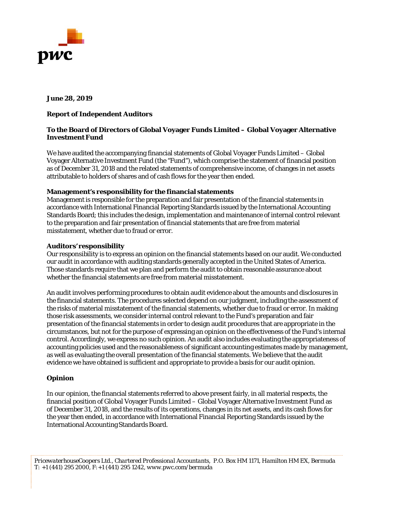

## **June 28, 2019**

## **Report of Independent Auditors**

## **To the Board of Directors of Global Voyager Funds Limited – Global Voyager Alternative Investment Fund**

We have audited the accompanying financial statements of Global Voyager Funds Limited – Global Voyager Alternative Investment Fund (the "Fund"), which comprise the statement of financial position as of December 31, 2018 and the related statements of comprehensive income, of changes in net assets attributable to holders of shares and of cash flows for the year then ended.

## **Management's responsibility for the financial statements**

Management is responsible for the preparation and fair presentation of the financial statements in accordance with International Financial Reporting Standards issued by the International Accounting Standards Board; this includes the design, implementation and maintenance of internal control relevant to the preparation and fair presentation of financial statements that are free from material misstatement, whether due to fraud or error.

## **Auditors' responsibility**

Our responsibility is to express an opinion on the financial statements based on our audit. We conducted our audit in accordance with auditing standards generally accepted in the United States of America. Those standards require that we plan and perform the audit to obtain reasonable assurance about whether the financial statements are free from material misstatement.

An audit involves performing procedures to obtain audit evidence about the amounts and disclosures in the financial statements. The procedures selected depend on our judgment, including the assessment of the risks of material misstatement of the financial statements, whether due to fraud or error. In making those risk assessments, we consider internal control relevant to the Fund's preparation and fair presentation of the financial statements in order to design audit procedures that are appropriate in the circumstances, but not for the purpose of expressing an opinion on the effectiveness of the Fund's internal control. Accordingly, we express no such opinion. An audit also includes evaluating the appropriateness of accounting policies used and the reasonableness of significant accounting estimates made by management, as well as evaluating the overall presentation of the financial statements. We believe that the audit evidence we have obtained is sufficient and appropriate to provide a basis for our audit opinion.

## **Opinion**

In our opinion, the financial statements referred to above present fairly, in all material respects, the financial position of Global Voyager Funds Limited – Global Voyager Alternative Investment Fund as of December 31, 2018, and the results of its operations, changes in its net assets, and its cash flows for the year then ended, in accordance with International Financial Reporting Standards issued by the International Accounting Standards Board.

*PricewaterhouseCoopers Ltd., Chartered Professional Accountants, P.O. Box HM 1171, Hamilton HM EX, Bermuda T: +1 (441) 295 2000, F:+1 (441) 295 1242, www.pwc.com/bermuda*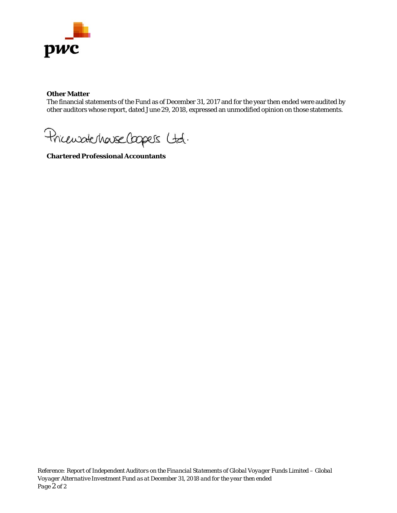

## **Other Matter**

The financial statements of the Fund as of December 31, 2017 and for the year then ended were audited by other auditors whose report, dated June 29, 2018, expressed an unmodified opinion on those statements.

Pricewatchause Coopers Ltd.

**Chartered Professional Accountants**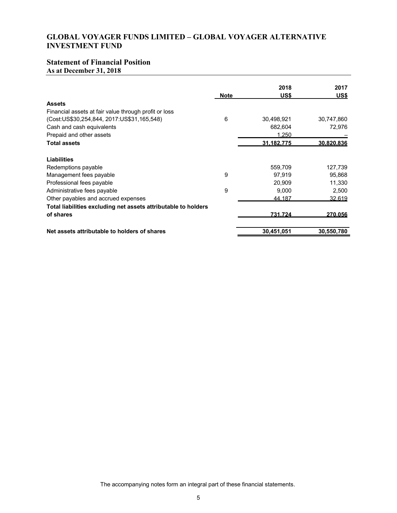# **Statement of Financial Position**

**As at December 31, 2018**

|                                                                | <b>Note</b> | 2018<br>US\$ | 2017<br>US\$ |
|----------------------------------------------------------------|-------------|--------------|--------------|
| <b>Assets</b>                                                  |             |              |              |
| Financial assets at fair value through profit or loss          |             |              |              |
| (Cost: US\$30, 254, 844, 2017: US\$31, 165, 548)               | 6           | 30,498,921   | 30,747,860   |
| Cash and cash equivalents                                      |             | 682,604      | 72,976       |
| Prepaid and other assets                                       |             | 1.250        |              |
| <b>Total assets</b>                                            |             | 31.182.775   | 30.820.836   |
| <b>Liabilities</b>                                             |             |              |              |
| Redemptions payable                                            |             | 559,709      | 127,739      |
| Management fees payable                                        | 9           | 97,919       | 95,868       |
| Professional fees payable                                      |             | 20.909       | 11,330       |
| Administrative fees payable                                    | 9           | 9,000        | 2,500        |
| Other payables and accrued expenses                            |             | 44.187       | 32,619       |
| Total liabilities excluding net assets attributable to holders |             |              |              |
| of shares                                                      |             | 731.724      | 270.056      |
| Net assets attributable to holders of shares                   |             | 30,451,051   | 30,550,780   |

The accompanying notes form an integral part of these financial statements.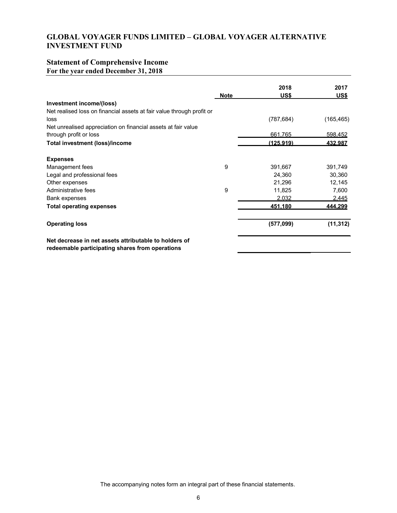# **Statement of Comprehensive Income**

**For the year ended December 31, 2018**

|                                                                                                          |             | 2018       | 2017       |
|----------------------------------------------------------------------------------------------------------|-------------|------------|------------|
|                                                                                                          | <b>Note</b> | US\$       | US\$       |
| Investment income/(loss)                                                                                 |             |            |            |
| Net realised loss on financial assets at fair value through profit or                                    |             |            |            |
| loss                                                                                                     |             | (787, 684) | (165, 465) |
| Net unrealised appreciation on financial assets at fair value                                            |             |            |            |
| through profit or loss                                                                                   |             | 661,765    | 598,452    |
| Total investment (loss)/income                                                                           |             | (125.919)  | 432.987    |
| <b>Expenses</b>                                                                                          |             |            |            |
| Management fees                                                                                          | 9           | 391,667    | 391,749    |
| Legal and professional fees                                                                              |             | 24,360     | 30,360     |
| Other expenses                                                                                           |             | 21,296     | 12,145     |
| Administrative fees                                                                                      | 9           | 11,825     | 7,600      |
| Bank expenses                                                                                            |             | 2.032      | 2.445      |
| <b>Total operating expenses</b>                                                                          |             | 451.180    | 444.299    |
| <b>Operating loss</b>                                                                                    |             | (577,099)  | (11, 312)  |
| Net decrease in net assets attributable to holders of<br>redeemable participating shares from operations |             |            |            |

The accompanying notes form an integral part of these financial statements.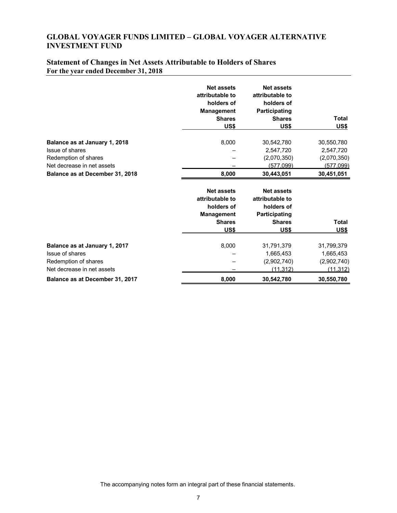# **Statement of Changes in Net Assets Attributable to Holders of Shares For the year ended December 31, 2018**

|                                                                                                                                           | <b>Net assets</b><br>attributable to<br>holders of<br><b>Management</b><br><b>Shares</b><br>US\$ | <b>Net assets</b><br>attributable to<br>holders of<br><b>Participating</b><br><b>Shares</b><br>US\$ | <b>Total</b><br>US\$                                              |
|-------------------------------------------------------------------------------------------------------------------------------------------|--------------------------------------------------------------------------------------------------|-----------------------------------------------------------------------------------------------------|-------------------------------------------------------------------|
| Balance as at January 1, 2018<br>Issue of shares<br>Redemption of shares<br>Net decrease in net assets<br>Balance as at December 31, 2018 | 8,000<br>8,000                                                                                   | 30,542,780<br>2,547,720<br>(2,070,350)<br>(577,099)<br>30,443,051                                   | 30,550,780<br>2,547,720<br>(2,070,350)<br>(577,099)<br>30,451,051 |
|                                                                                                                                           | <b>Net assets</b><br>attributable to<br>holders of<br><b>Management</b><br><b>Shares</b><br>US\$ | <b>Net assets</b><br>attributable to<br>holders of<br>Participating<br><b>Shares</b><br>US\$        | <b>Total</b><br><u>US\$</u>                                       |
| Balance as at January 1, 2017<br>Issue of shares<br>Redemption of shares<br>Net decrease in net assets<br>Balance as at December 31, 2017 | 8,000<br>8,000                                                                                   | 31,791,379<br>1,665,453<br>(2,902,740)<br>(11, 312)<br>30,542,780                                   | 31,799,379<br>1,665,453<br>(2,902,740)<br>(11, 312)<br>30,550,780 |

The accompanying notes form an integral part of these financial statements.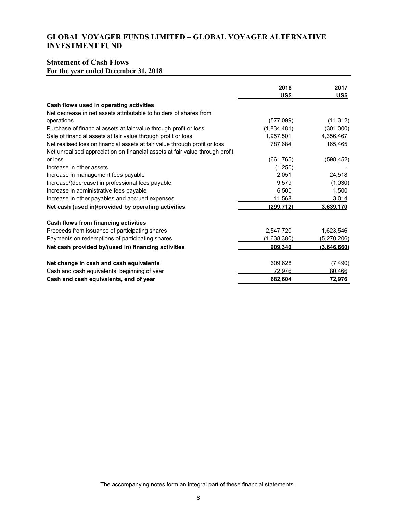# **Statement of Cash Flows**

**For the year ended December 31, 2018**

|                                                                              | 2018<br>US\$ | 2017<br><u>US\$</u> |
|------------------------------------------------------------------------------|--------------|---------------------|
| Cash flows used in operating activities                                      |              |                     |
| Net decrease in net assets attributable to holders of shares from            |              |                     |
| operations                                                                   | (577,099)    | (11, 312)           |
| Purchase of financial assets at fair value through profit or loss            | (1,834,481)  | (301,000)           |
| Sale of financial assets at fair value through profit or loss                | 1,957,501    | 4,356,467           |
| Net realised loss on financial assets at fair value through profit or loss   | 787,684      | 165,465             |
| Net unrealised appreciation on financial assets at fair value through profit |              |                     |
| or loss                                                                      | (661, 765)   | (598, 452)          |
| Increase in other assets                                                     | (1,250)      |                     |
| Increase in management fees payable                                          | 2,051        | 24,518              |
| Increase/(decrease) in professional fees payable                             | 9,579        | (1,030)             |
| Increase in administrative fees payable                                      | 6,500        | 1,500               |
| Increase in other payables and accrued expenses                              | 11.568       | 3.014               |
| Net cash (used in)/provided by operating activities                          | (299.712)    | 3.639.170           |
| Cash flows from financing activities                                         |              |                     |
| Proceeds from issuance of participating shares                               | 2,547,720    | 1,623,546           |
| Payments on redemptions of participating shares                              | (1.638.380)  | (5.270.206)         |
| Net cash provided by/(used in) financing activities                          | 909.340      | (3.646.660)         |
| Net change in cash and cash equivalents                                      | 609,628      | (7, 490)            |
| Cash and cash equivalents, beginning of year                                 | 72.976       | 80.466              |
| Cash and cash equivalents, end of year                                       | 682,604      | 72,976              |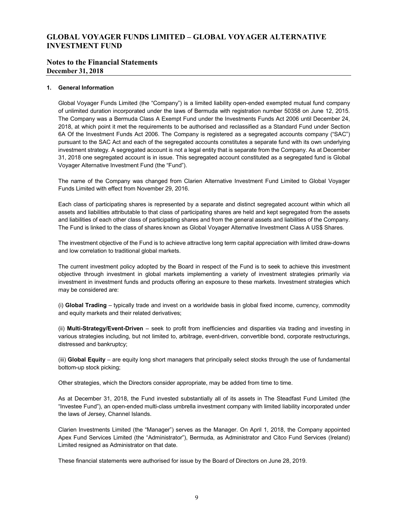## **Notes to the Financial Statements December 31, 2018**

#### **1. General Information**

Global Voyager Funds Limited (the "Company") is a limited liability open-ended exempted mutual fund company of unlimited duration incorporated under the laws of Bermuda with registration number 50358 on June 12, 2015. The Company was a Bermuda Class A Exempt Fund under the Investments Funds Act 2006 until December 24, 2018, at which point it met the requirements to be authorised and reclassified as a Standard Fund under Section 6A Of the Investment Funds Act 2006. The Company is registered as a segregated accounts company ("SAC") pursuant to the SAC Act and each of the segregated accounts constitutes a separate fund with its own underlying investment strategy. A segregated account is not a legal entity that is separate from the Company. As at December 31, 2018 one segregated account is in issue. This segregated account constituted as a segregated fund is Global Voyager Alternative Investment Fund (the "Fund").

The name of the Company was changed from Clarien Alternative Investment Fund Limited to Global Voyager Funds Limited with effect from November 29, 2016.

Each class of participating shares is represented by a separate and distinct segregated account within which all assets and liabilities attributable to that class of participating shares are held and kept segregated from the assets and liabilities of each other class of participating shares and from the general assets and liabilities of the Company. The Fund is linked to the class of shares known as Global Voyager Alternative Investment Class A US\$ Shares.

The investment objective of the Fund is to achieve attractive long term capital appreciation with limited draw-downs and low correlation to traditional global markets.

The current investment policy adopted by the Board in respect of the Fund is to seek to achieve this investment objective through investment in global markets implementing a variety of investment strategies primarily via investment in investment funds and products offering an exposure to these markets. Investment strategies which may be considered are:

(i) **Global Trading** – typically trade and invest on a worldwide basis in global fixed income, currency, commodity and equity markets and their related derivatives;

(ii) **Multi-Strategy/Event-Driven** – seek to profit from inefficiencies and disparities via trading and investing in various strategies including, but not limited to, arbitrage, event-driven, convertible bond, corporate restructurings, distressed and bankruptcy;

(iii) **Global Equity** – are equity long short managers that principally select stocks through the use of fundamental bottom-up stock picking;

Other strategies, which the Directors consider appropriate, may be added from time to time.

As at December 31, 2018, the Fund invested substantially all of its assets in The Steadfast Fund Limited (the "Investee Fund"), an open-ended multi-class umbrella investment company with limited liability incorporated under the laws of Jersey, Channel Islands.

Clarien Investments Limited (the "Manager") serves as the Manager. On April 1, 2018, the Company appointed Apex Fund Services Limited (the "Administrator"), Bermuda, as Administrator and Citco Fund Services (Ireland) Limited resigned as Administrator on that date.

These financial statements were authorised for issue by the Board of Directors on June 28, 2019.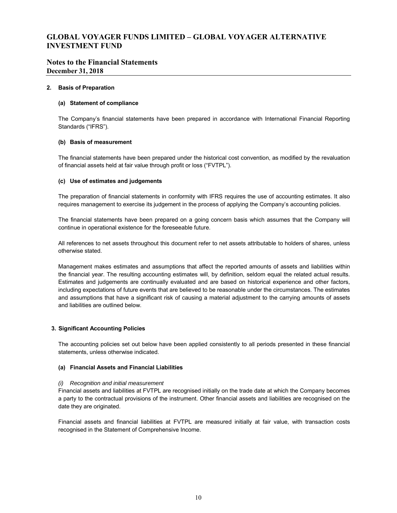## **Notes to the Financial Statements December 31, 2018**

#### **2. Basis of Preparation**

#### **(a) Statement of compliance**

The Company's financial statements have been prepared in accordance with International Financial Reporting Standards ("IFRS").

#### **(b) Basis of measurement**

The financial statements have been prepared under the historical cost convention, as modified by the revaluation of financial assets held at fair value through profit or loss ("FVTPL").

#### **(c) Use of estimates and judgements**

The preparation of financial statements in conformity with IFRS requires the use of accounting estimates. It also requires management to exercise its judgement in the process of applying the Company's accounting policies.

The financial statements have been prepared on a going concern basis which assumes that the Company will continue in operational existence for the foreseeable future.

All references to net assets throughout this document refer to net assets attributable to holders of shares, unless otherwise stated.

Management makes estimates and assumptions that affect the reported amounts of assets and liabilities within the financial year. The resulting accounting estimates will, by definition, seldom equal the related actual results. Estimates and judgements are continually evaluated and are based on historical experience and other factors, including expectations of future events that are believed to be reasonable under the circumstances. The estimates and assumptions that have a significant risk of causing a material adjustment to the carrying amounts of assets and liabilities are outlined below.

#### **3. Significant Accounting Policies**

The accounting policies set out below have been applied consistently to all periods presented in these financial statements, unless otherwise indicated.

#### **(a) Financial Assets and Financial Liabilities**

#### *(i) Recognition and initial measurement*

Financial assets and liabilities at FVTPL are recognised initially on the trade date at which the Company becomes a party to the contractual provisions of the instrument. Other financial assets and liabilities are recognised on the date they are originated.

Financial assets and financial liabilities at FVTPL are measured initially at fair value, with transaction costs recognised in the Statement of Comprehensive Income.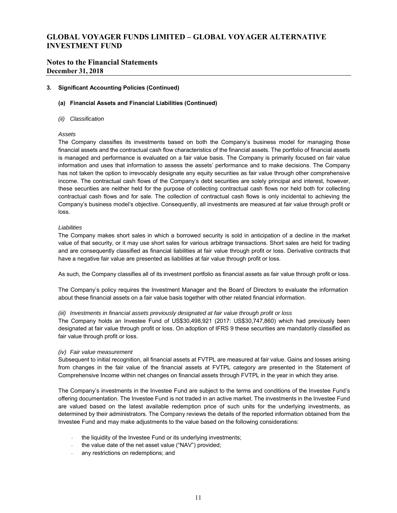## **Notes to the Financial Statements December 31, 2018**

#### **3. Significant Accounting Policies (Continued)**

### **(a) Financial Assets and Financial Liabilities (Continued)**

*(ii) Classification* 

#### *Assets*

The Company classifies its investments based on both the Company's business model for managing those financial assets and the contractual cash flow characteristics of the financial assets. The portfolio of financial assets is managed and performance is evaluated on a fair value basis. The Company is primarily focused on fair value information and uses that information to assess the assets' performance and to make decisions. The Company has not taken the option to irrevocably designate any equity securities as fair value through other comprehensive income. The contractual cash flows of the Company's debt securities are solely principal and interest, however, these securities are neither held for the purpose of collecting contractual cash flows nor held both for collecting contractual cash flows and for sale. The collection of contractual cash flows is only incidental to achieving the Company's business model's objective. Consequently, all investments are measured at fair value through profit or loss.

#### *Liabilities*

The Company makes short sales in which a borrowed security is sold in anticipation of a decline in the market value of that security, or it may use short sales for various arbitrage transactions. Short sales are held for trading and are consequently classified as financial liabilities at fair value through profit or loss. Derivative contracts that have a negative fair value are presented as liabilities at fair value through profit or loss.

As such, the Company classifies all of its investment portfolio as financial assets as fair value through profit or loss.

The Company's policy requires the Investment Manager and the Board of Directors to evaluate the information about these financial assets on a fair value basis together with other related financial information.

#### *(iii) Investments in financial assets previously designated at fair value through profit or loss*

The Company holds an Investee Fund of US\$30,498,921 (2017: US\$30,747,860) which had previously been designated at fair value through profit or loss. On adoption of IFRS 9 these securities are mandatorily classified as fair value through profit or loss.

#### *(iv) Fair value measurement*

Subsequent to initial recognition, all financial assets at FVTPL are measured at fair value. Gains and losses arising from changes in the fair value of the financial assets at FVTPL category are presented in the Statement of Comprehensive Income within net changes on financial assets through FVTPL in the year in which they arise.

The Company's investments in the Investee Fund are subject to the terms and conditions of the Investee Fund's offering documentation. The Investee Fund is not traded in an active market. The investments in the Investee Fund are valued based on the latest available redemption price of such units for the underlying investments, as determined by their administrators. The Company reviews the details of the reported information obtained from the Investee Fund and may make adjustments to the value based on the following considerations:

- the liquidity of the Investee Fund or its underlying investments;
- the value date of the net asset value ("NAV") provided;
- any restrictions on redemptions; and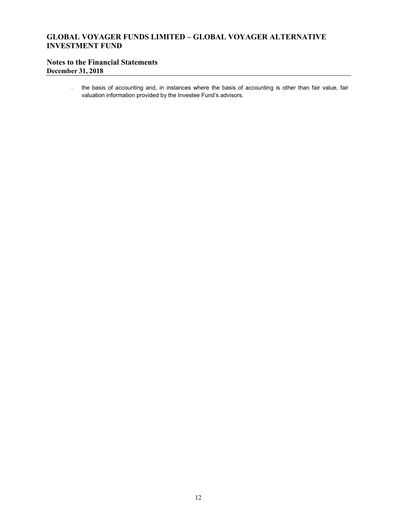# **Notes to the Financial Statements December 31, 2018**

 the basis of accounting and, in instances where the basis of accounting is other than fair value, fair valuation information provided by the Investee Fund's advisors.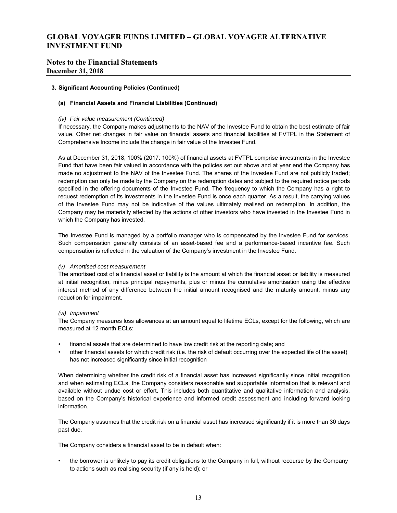## **Notes to the Financial Statements December 31, 2018**

#### **3. Significant Accounting Policies (Continued)**

### **(a) Financial Assets and Financial Liabilities (Continued)**

#### *(iv) Fair value measurement (Continued)*

If necessary, the Company makes adjustments to the NAV of the Investee Fund to obtain the best estimate of fair value. Other net changes in fair value on financial assets and financial liabilities at FVTPL in the Statement of Comprehensive Income include the change in fair value of the Investee Fund.

As at December 31, 2018, 100% (2017: 100%) of financial assets at FVTPL comprise investments in the Investee Fund that have been fair valued in accordance with the policies set out above and at year end the Company has made no adjustment to the NAV of the Investee Fund. The shares of the Investee Fund are not publicly traded; redemption can only be made by the Company on the redemption dates and subject to the required notice periods specified in the offering documents of the Investee Fund. The frequency to which the Company has a right to request redemption of its investments in the Investee Fund is once each quarter. As a result, the carrying values of the Investee Fund may not be indicative of the values ultimately realised on redemption. In addition, the Company may be materially affected by the actions of other investors who have invested in the Investee Fund in which the Company has invested.

The Investee Fund is managed by a portfolio manager who is compensated by the Investee Fund for services. Such compensation generally consists of an asset-based fee and a performance-based incentive fee. Such compensation is reflected in the valuation of the Company's investment in the Investee Fund.

#### *(v) Amortised cost measurement*

The amortised cost of a financial asset or liability is the amount at which the financial asset or liability is measured at initial recognition, minus principal repayments, plus or minus the cumulative amortisation using the effective interest method of any difference between the initial amount recognised and the maturity amount, minus any reduction for impairment.

#### *(vi) Impairment*

The Company measures loss allowances at an amount equal to lifetime ECLs, except for the following, which are measured at 12 month ECLs:

- financial assets that are determined to have low credit risk at the reporting date; and
- other financial assets for which credit risk (i.e. the risk of default occurring over the expected life of the asset) has not increased significantly since initial recognition

When determining whether the credit risk of a financial asset has increased significantly since initial recognition and when estimating ECLs, the Company considers reasonable and supportable information that is relevant and available without undue cost or effort. This includes both quantitative and qualitative information and analysis, based on the Company's historical experience and informed credit assessment and including forward looking information.

The Company assumes that the credit risk on a financial asset has increased significantly if it is more than 30 days past due.

The Company considers a financial asset to be in default when:

• the borrower is unlikely to pay its credit obligations to the Company in full, without recourse by the Company to actions such as realising security (if any is held); or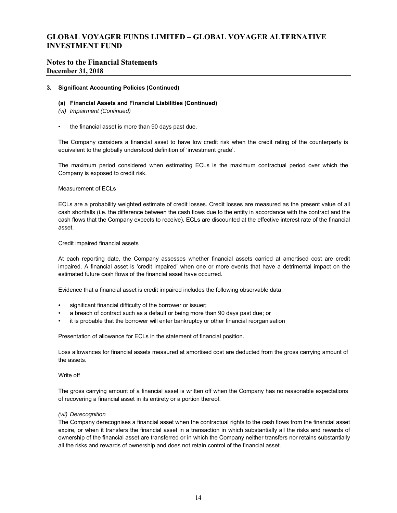## **Notes to the Financial Statements December 31, 2018**

#### **3. Significant Accounting Policies (Continued)**

#### **(a) Financial Assets and Financial Liabilities (Continued)**

- *(vi) Impairment (Continued)*
- the financial asset is more than 90 days past due.

The Company considers a financial asset to have low credit risk when the credit rating of the counterparty is equivalent to the globally understood definition of 'investment grade'.

The maximum period considered when estimating ECLs is the maximum contractual period over which the Company is exposed to credit risk.

#### Measurement of ECLs

ECLs are a probability weighted estimate of credit losses. Credit losses are measured as the present value of all cash shortfalls (i.e. the difference between the cash flows due to the entity in accordance with the contract and the cash flows that the Company expects to receive). ECLs are discounted at the effective interest rate of the financial asset.

#### Credit impaired financial assets

At each reporting date, the Company assesses whether financial assets carried at amortised cost are credit impaired. A financial asset is 'credit impaired' when one or more events that have a detrimental impact on the estimated future cash flows of the financial asset have occurred.

Evidence that a financial asset is credit impaired includes the following observable data:

- significant financial difficulty of the borrower or issuer;
- a breach of contract such as a default or being more than 90 days past due; or
- it is probable that the borrower will enter bankruptcy or other financial reorganisation

Presentation of allowance for ECLs in the statement of financial position.

Loss allowances for financial assets measured at amortised cost are deducted from the gross carrying amount of the assets.

#### Write off

The gross carrying amount of a financial asset is written off when the Company has no reasonable expectations of recovering a financial asset in its entirety or a portion thereof.

#### *(vii) Derecognition*

The Company derecognises a financial asset when the contractual rights to the cash flows from the financial asset expire, or when it transfers the financial asset in a transaction in which substantially all the risks and rewards of ownership of the financial asset are transferred or in which the Company neither transfers nor retains substantially all the risks and rewards of ownership and does not retain control of the financial asset.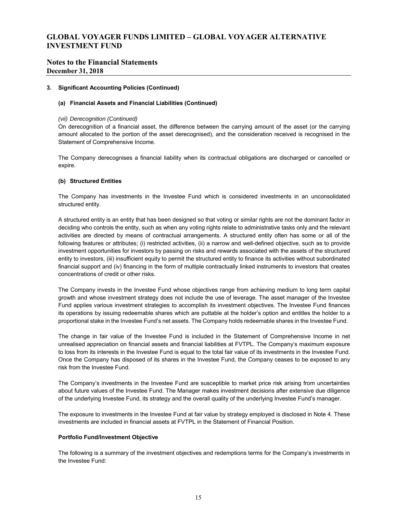## **Notes to the Financial Statements December 31, 2018**

#### **3. Significant Accounting Policies (Continued)**

#### **(a) Financial Assets and Financial Liabilities (Continued)**

#### *(vii) Derecognition (Continued)*

On derecognition of a financial asset, the difference between the carrying amount of the asset (or the carrying amount allocated to the portion of the asset derecognised), and the consideration received is recognised in the Statement of Comprehensive Income.

The Company derecognises a financial liability when its contractual obligations are discharged or cancelled or expire.

#### **(b) Structured Entities**

The Company has investments in the Investee Fund which is considered investments in an unconsolidated structured entity.

A structured entity is an entity that has been designed so that voting or similar rights are not the dominant factor in deciding who controls the entity, such as when any voting rights relate to administrative tasks only and the relevant activities are directed by means of contractual arrangements. A structured entity often has some or all of the following features or attributes; (i) restricted activities, (ii) a narrow and well-defined objective, such as to provide investment opportunities for investors by passing on risks and rewards associated with the assets of the structured entity to investors, (iii) insufficient equity to permit the structured entity to finance its activities without subordinated financial support and (iv) financing in the form of multiple contractually linked instruments to investors that creates concentrations of credit or other risks.

The Company invests in the Investee Fund whose objectives range from achieving medium to long term capital growth and whose investment strategy does not include the use of leverage. The asset manager of the Investee Fund applies various investment strategies to accomplish its investment objectives. The Investee Fund finances its operations by issuing redeemable shares which are puttable at the holder's option and entitles the holder to a proportional stake in the Investee Fund's net assets. The Company holds redeemable shares in the Investee Fund.

The change in fair value of the Investee Fund is included in the Statement of Comprehensive Income in net unrealised appreciation on financial assets and financial liabilities at FVTPL. The Company's maximum exposure to loss from its interests in the Investee Fund is equal to the total fair value of its investments in the Investee Fund. Once the Company has disposed of its shares in the Investee Fund, the Company ceases to be exposed to any risk from the Investee Fund.

The Company's investments in the Investee Fund are susceptible to market price risk arising from uncertainties about future values of the Investee Fund. The Manager makes investment decisions after extensive due diligence of the underlying Investee Fund, its strategy and the overall quality of the underlying Investee Fund's manager.

The exposure to investments in the Investee Fund at fair value by strategy employed is disclosed in Note 4. These investments are included in financial assets at FVTPL in the Statement of Financial Position.

#### **Portfolio Fund/Investment Objective**

The following is a summary of the investment objectives and redemptions terms for the Company's investments in the Investee Fund: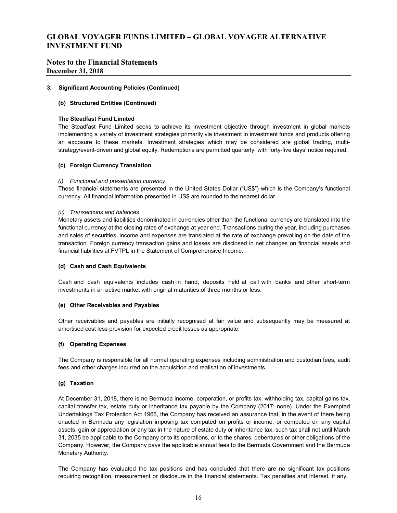## **Notes to the Financial Statements December 31, 2018**

#### **3. Significant Accounting Policies (Continued)**

#### **(b) Structured Entities (Continued)**

#### **The Steadfast Fund Limited**

The Steadfast Fund Limited seeks to achieve its investment objective through investment in global markets implementing a variety of investment strategies primarily via investment in investment funds and products offering an exposure to these markets. Investment strategies which may be considered are global trading, multistrategy/event-driven and global equity. Redemptions are permitted quarterly, with forty-five days' notice required.

#### **(c) Foreign Currency Translation**

#### *(i) Functional and presentation currency*

These financial statements are presented in the United States Dollar ("US\$") which is the Company's functional currency. All financial information presented in US\$ are rounded to the nearest dollar.

#### *(ii) Transactions and balances*

Monetary assets and liabilities denominated in currencies other than the functional currency are translated into the functional currency at the closing rates of exchange at year end. Transactions during the year, including purchases and sales of securities, income and expenses are translated at the rate of exchange prevailing on the date of the transaction. Foreign currency transaction gains and losses are disclosed in net changes on financial assets and financial liabilities at FVTPL in the Statement of Comprehensive Income.

#### **(d) Cash and Cash Equivalents**

Cash and cash equivalents includes cash in hand, deposits held at call with banks and other short-term investments in an active market with original maturities of three months or less.

#### **(e) Other Receivables and Payables**

Other receivables and payables are initially recognised at fair value and subsequently may be measured at amortised cost less provision for expected credit losses as appropriate.

#### **(f) Operating Expenses**

The Company is responsible for all normal operating expenses including administration and custodian fees, audit fees and other charges incurred on the acquisition and realisation of investments.

#### **(g) Taxation**

At December 31, 2018, there is no Bermuda income, corporation, or profits tax, withholding tax, capital gains tax, capital transfer tax, estate duty or inheritance tax payable by the Company (2017: none). Under the Exempted Undertakings Tax Protection Act 1966, the Company has received an assurance that, in the event of there being enacted in Bermuda any legislation imposing tax computed on profits or income, or computed on any capital assets, gain or appreciation or any tax in the nature of estate duty or inheritance tax, such tax shall not until March 31, 2035 be applicable to the Company or to its operations, or to the shares, debentures or other obligations of the Company. However, the Company pays the applicable annual fees to the Bermuda Government and the Bermuda Monetary Authority.

The Company has evaluated the tax positions and has concluded that there are no significant tax positions requiring recognition, measurement or disclosure in the financial statements. Tax penalties and interest, if any,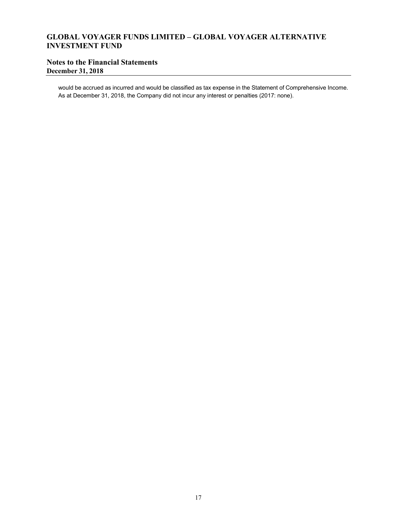# **Notes to the Financial Statements December 31, 2018**

would be accrued as incurred and would be classified as tax expense in the Statement of Comprehensive Income. As at December 31, 2018, the Company did not incur any interest or penalties (2017: none).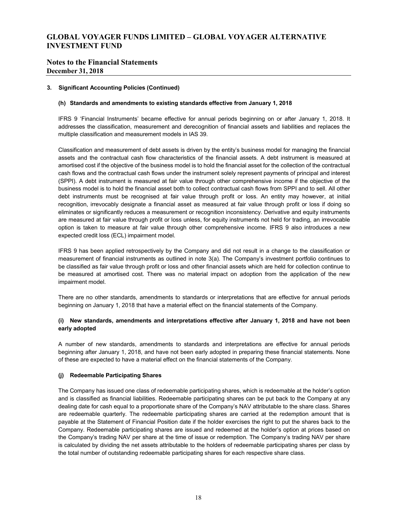## **Notes to the Financial Statements December 31, 2018**

#### **3. Significant Accounting Policies (Continued)**

### **(h) Standards and amendments to existing standards effective from January 1, 2018**

IFRS 9 'Financial Instruments' became effective for annual periods beginning on or after January 1, 2018. It addresses the classification, measurement and derecognition of financial assets and liabilities and replaces the multiple classification and measurement models in IAS 39.

Classification and measurement of debt assets is driven by the entity's business model for managing the financial assets and the contractual cash flow characteristics of the financial assets. A debt instrument is measured at amortised cost if the objective of the business model is to hold the financial asset for the collection of the contractual cash flows and the contractual cash flows under the instrument solely represent payments of principal and interest (SPPI). A debt instrument is measured at fair value through other comprehensive income if the objective of the business model is to hold the financial asset both to collect contractual cash flows from SPPI and to sell. All other debt instruments must be recognised at fair value through profit or loss. An entity may however, at initial recognition, irrevocably designate a financial asset as measured at fair value through profit or loss if doing so eliminates or significantly reduces a measurement or recognition inconsistency. Derivative and equity instruments are measured at fair value through profit or loss unless, for equity instruments not held for trading, an irrevocable option is taken to measure at fair value through other comprehensive income. IFRS 9 also introduces a new expected credit loss (ECL) impairment model.

IFRS 9 has been applied retrospectively by the Company and did not result in a change to the classification or measurement of financial instruments as outlined in note 3(a). The Company's investment portfolio continues to be classified as fair value through profit or loss and other financial assets which are held for collection continue to be measured at amortised cost. There was no material impact on adoption from the application of the new impairment model.

There are no other standards, amendments to standards or interpretations that are effective for annual periods beginning on January 1, 2018 that have a material effect on the financial statements of the Company.

## **(i) New standards, amendments and interpretations effective after January 1, 2018 and have not been early adopted**

A number of new standards, amendments to standards and interpretations are effective for annual periods beginning after January 1, 2018, and have not been early adopted in preparing these financial statements. None of these are expected to have a material effect on the financial statements of the Company.

#### **(j) Redeemable Participating Shares**

The Company has issued one class of redeemable participating shares, which is redeemable at the holder's option and is classified as financial liabilities. Redeemable participating shares can be put back to the Company at any dealing date for cash equal to a proportionate share of the Company's NAV attributable to the share class. Shares are redeemable quarterly. The redeemable participating shares are carried at the redemption amount that is payable at the Statement of Financial Position date if the holder exercises the right to put the shares back to the Company. Redeemable participating shares are issued and redeemed at the holder's option at prices based on the Company's trading NAV per share at the time of issue or redemption. The Company's trading NAV per share is calculated by dividing the net assets attributable to the holders of redeemable participating shares per class by the total number of outstanding redeemable participating shares for each respective share class.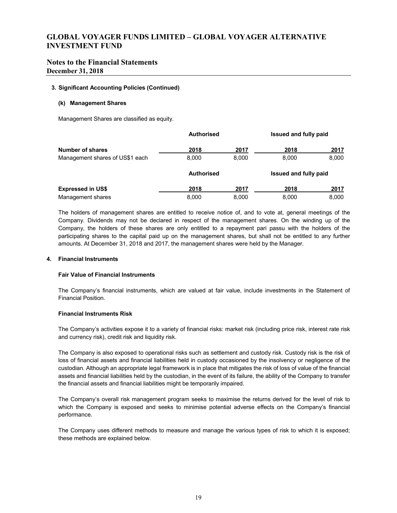## **Notes to the Financial Statements December 31, 2018**

#### **3. Significant Accounting Policies (Continued)**

#### **(k) Management Shares**

Management Shares are classified as equity.

|                                 | <b>Authorised</b> |       | Issued and fully paid |       |
|---------------------------------|-------------------|-------|-----------------------|-------|
| <b>Number of shares</b>         | 2018              | 2017  | 2018                  | 2017  |
| Management shares of US\$1 each | 8.000             | 8.000 | 8,000                 | 8,000 |
|                                 | <b>Authorised</b> |       | Issued and fully paid |       |
| <b>Expressed in US\$</b>        | 2018              | 2017  | 2018                  | 2017  |
| Management shares               | 8.000             | 8.000 | 8,000                 | 8,000 |

The holders of management shares are entitled to receive notice of, and to vote at, general meetings of the Company. Dividends may not be declared in respect of the management shares. On the winding up of the Company, the holders of these shares are only entitled to a repayment pari passu with the holders of the participating shares to the capital paid up on the management shares, but shall not be entitled to any further amounts. At December 31, 2018 and 2017, the management shares were held by the Manager.

#### **4. Financial Instruments**

#### **Fair Value of Financial Instruments**

The Company's financial instruments, which are valued at fair value, include investments in the Statement of Financial Position.

#### **Financial Instruments Risk**

The Company's activities expose it to a variety of financial risks: market risk (including price risk, interest rate risk and currency risk), credit risk and liquidity risk.

The Company is also exposed to operational risks such as settlement and custody risk. Custody risk is the risk of loss of financial assets and financial liabilities held in custody occasioned by the insolvency or negligence of the custodian. Although an appropriate legal framework is in place that mitigates the risk of loss of value of the financial assets and financial liabilities held by the custodian, in the event of its failure, the ability of the Company to transfer the financial assets and financial liabilities might be temporarily impaired.

The Company's overall risk management program seeks to maximise the returns derived for the level of risk to which the Company is exposed and seeks to minimise potential adverse effects on the Company's financial performance.

The Company uses different methods to measure and manage the various types of risk to which it is exposed; these methods are explained below.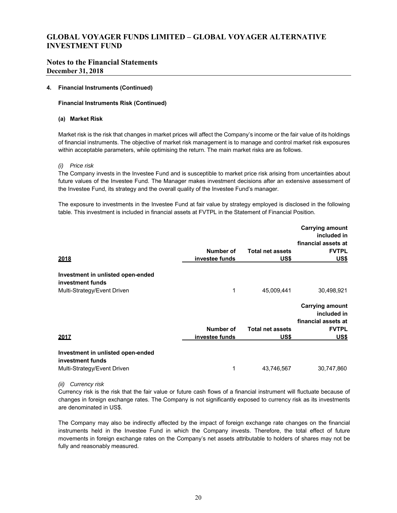## **Notes to the Financial Statements December 31, 2018**

#### **4. Financial Instruments (Continued)**

### **Financial Instruments Risk (Continued)**

#### **(a) Market Risk**

Market risk is the risk that changes in market prices will affect the Company's income or the fair value of its holdings of financial instruments. The objective of market risk management is to manage and control market risk exposures within acceptable parameters, while optimising the return. The main market risks are as follows.

#### *(i) Price risk*

The Company invests in the Investee Fund and is susceptible to market price risk arising from uncertainties about future values of the Investee Fund. The Manager makes investment decisions after an extensive assessment of the Investee Fund, its strategy and the overall quality of the Investee Fund's manager.

The exposure to investments in the Investee Fund at fair value by strategy employed is disclosed in the following table. This investment is included in financial assets at FVTPL in the Statement of Financial Position.

|                                                       |                |                         | <b>Carrying amount</b><br>included in                        |
|-------------------------------------------------------|----------------|-------------------------|--------------------------------------------------------------|
|                                                       |                |                         | financial assets at                                          |
|                                                       | Number of      | <b>Total net assets</b> | <b>FVTPL</b>                                                 |
| 2018                                                  | investee funds | US\$                    | US\$                                                         |
| Investment in unlisted open-ended<br>investment funds |                |                         |                                                              |
| Multi-Strategy/Event Driven                           | 1              | 45,009,441              | 30,498,921                                                   |
|                                                       |                |                         | <b>Carrying amount</b><br>included in<br>financial assets at |
|                                                       | Number of      | <b>Total net assets</b> | <b>FVTPL</b>                                                 |
| 2017                                                  | investee funds | US\$                    | <u>US\$</u>                                                  |
| Investment in unlisted open-ended<br>investment funds |                |                         |                                                              |
| Multi-Strategy/Event Driven                           | 1              | 43,746,567              | 30,747,860                                                   |
|                                                       |                |                         |                                                              |

*(ii) Currency risk*

Currency risk is the risk that the fair value or future cash flows of a financial instrument will fluctuate because of changes in foreign exchange rates. The Company is not significantly exposed to currency risk as its investments are denominated in US\$.

The Company may also be indirectly affected by the impact of foreign exchange rate changes on the financial instruments held in the Investee Fund in which the Company invests. Therefore, the total effect of future movements in foreign exchange rates on the Company's net assets attributable to holders of shares may not be fully and reasonably measured.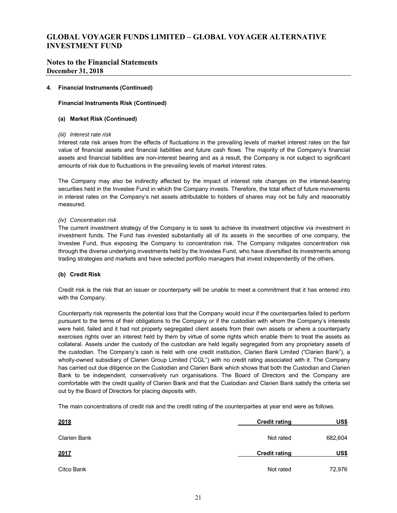## **Notes to the Financial Statements December 31, 2018**

#### **4. Financial Instruments (Continued)**

### **Financial Instruments Risk (Continued)**

#### **(a) Market Risk (Continued)**

#### *(iii) Interest rate risk*

Interest rate risk arises from the effects of fluctuations in the prevailing levels of market interest rates on the fair value of financial assets and financial liabilities and future cash flows. The majority of the Company's financial assets and financial liabilities are non-interest bearing and as a result, the Company is not subject to significant amounts of risk due to fluctuations in the prevailing levels of market interest rates.

The Company may also be indirectly affected by the impact of interest rate changes on the interest-bearing securities held in the Investee Fund in which the Company invests. Therefore, the total effect of future movements in interest rates on the Company's net assets attributable to holders of shares may not be fully and reasonably measured.

### *(iv) Concentration risk*

The current investment strategy of the Company is to seek to achieve its investment objective via investment in investment funds. The Fund has invested substantially all of its assets in the securities of one company, the Investee Fund, thus exposing the Company to concentration risk. The Company mitigates concentration risk through the diverse underlying investments held by the Investee Fund, who have diversified its investments among trading strategies and markets and have selected portfolio managers that invest independently of the others.

## **(b) Credit Risk**

Credit risk is the risk that an issuer or counterparty will be unable to meet a commitment that it has entered into with the Company.

Counterparty risk represents the potential loss that the Company would incur if the counterparties failed to perform pursuant to the terms of their obligations to the Company or if the custodian with whom the Company's interests were held, failed and it had not properly segregated client assets from their own assets or where a counterparty exercises rights over an interest held by them by virtue of some rights which enable them to treat the assets as collateral. Assets under the custody of the custodian are held legally segregated from any proprietary assets of the custodian. The Company's cash is held with one credit institution, Clarien Bank Limited ("Clarien Bank"), a wholly-owned subsidiary of Clarien Group Limited ("CGL") with no credit rating associated with it. The Company has carried out due diligence on the Custodian and Clarien Bank which shows that both the Custodian and Clarien Bank to be independent, conservatively run organisations. The Board of Directors and the Company are comfortable with the credit quality of Clarien Bank and that the Custodian and Clarien Bank satisfy the criteria set out by the Board of Directors for placing deposits with.

The main concentrations of credit risk and the credit rating of the counterparties at year end were as follows.

| 2018         | <b>Credit rating</b> | US\$    |
|--------------|----------------------|---------|
| Clarien Bank | Not rated            | 682,604 |
| 2017         | <b>Credit rating</b> | US\$    |
| Citco Bank   | Not rated            | 72,976  |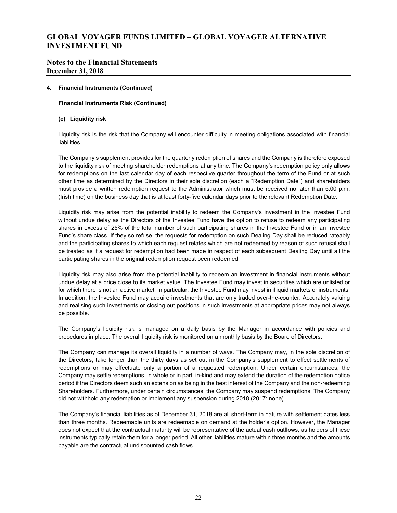## **Notes to the Financial Statements December 31, 2018**

#### **4. Financial Instruments (Continued)**

#### **Financial Instruments Risk (Continued)**

#### **(c) Liquidity risk**

Liquidity risk is the risk that the Company will encounter difficulty in meeting obligations associated with financial liabilities.

The Company's supplement provides for the quarterly redemption of shares and the Company is therefore exposed to the liquidity risk of meeting shareholder redemptions at any time. The Company's redemption policy only allows for redemptions on the last calendar day of each respective quarter throughout the term of the Fund or at such other time as determined by the Directors in their sole discretion (each a "Redemption Date") and shareholders must provide a written redemption request to the Administrator which must be received no later than 5.00 p.m. (Irish time) on the business day that is at least forty-five calendar days prior to the relevant Redemption Date.

Liquidity risk may arise from the potential inability to redeem the Company's investment in the Investee Fund without undue delay as the Directors of the Investee Fund have the option to refuse to redeem any participating shares in excess of 25% of the total number of such participating shares in the Investee Fund or in an Investee Fund's share class. If they so refuse, the requests for redemption on such Dealing Day shall be reduced rateably and the participating shares to which each request relates which are not redeemed by reason of such refusal shall be treated as if a request for redemption had been made in respect of each subsequent Dealing Day until all the participating shares in the original redemption request been redeemed.

Liquidity risk may also arise from the potential inability to redeem an investment in financial instruments without undue delay at a price close to its market value. The Investee Fund may invest in securities which are unlisted or for which there is not an active market. In particular, the Investee Fund may invest in illiquid markets or instruments. In addition, the Investee Fund may acquire investments that are only traded over-the-counter. Accurately valuing and realising such investments or closing out positions in such investments at appropriate prices may not always be possible.

The Company's liquidity risk is managed on a daily basis by the Manager in accordance with policies and procedures in place. The overall liquidity risk is monitored on a monthly basis by the Board of Directors.

The Company can manage its overall liquidity in a number of ways. The Company may, in the sole discretion of the Directors, take longer than the thirty days as set out in the Company's supplement to effect settlements of redemptions or may effectuate only a portion of a requested redemption. Under certain circumstances, the Company may settle redemptions, in whole or in part, in-kind and may extend the duration of the redemption notice period if the Directors deem such an extension as being in the best interest of the Company and the non-redeeming Shareholders. Furthermore, under certain circumstances, the Company may suspend redemptions. The Company did not withhold any redemption or implement any suspension during 2018 (2017: none).

The Company's financial liabilities as of December 31, 2018 are all short-term in nature with settlement dates less than three months. Redeemable units are redeemable on demand at the holder's option. However, the Manager does not expect that the contractual maturity will be representative of the actual cash outflows, as holders of these instruments typically retain them for a longer period. All other liabilities mature within three months and the amounts payable are the contractual undiscounted cash flows.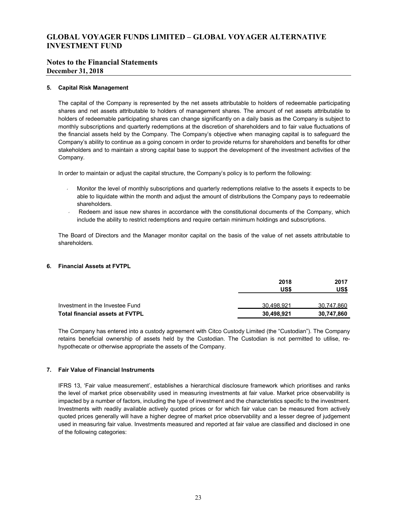## **Notes to the Financial Statements December 31, 2018**

#### **5. Capital Risk Management**

The capital of the Company is represented by the net assets attributable to holders of redeemable participating shares and net assets attributable to holders of management shares. The amount of net assets attributable to holders of redeemable participating shares can change significantly on a daily basis as the Company is subject to monthly subscriptions and quarterly redemptions at the discretion of shareholders and to fair value fluctuations of the financial assets held by the Company. The Company's objective when managing capital is to safeguard the Company's ability to continue as a going concern in order to provide returns for shareholders and benefits for other stakeholders and to maintain a strong capital base to support the development of the investment activities of the Company.

In order to maintain or adjust the capital structure, the Company's policy is to perform the following:

- Monitor the level of monthly subscriptions and quarterly redemptions relative to the assets it expects to be able to liquidate within the month and adjust the amount of distributions the Company pays to redeemable shareholders.
- Redeem and issue new shares in accordance with the constitutional documents of the Company, which include the ability to restrict redemptions and require certain minimum holdings and subscriptions.

The Board of Directors and the Manager monitor capital on the basis of the value of net assets attributable to shareholders.

## **6. Financial Assets at FVTPL**

|                                        | 2018       | 2017       |
|----------------------------------------|------------|------------|
|                                        | US\$       | US\$       |
| Investment in the Investee Fund        | 30.498.921 | 30.747.860 |
| <b>Total financial assets at FVTPL</b> | 30,498,921 | 30,747,860 |

The Company has entered into a custody agreement with Citco Custody Limited (the "Custodian"). The Company retains beneficial ownership of assets held by the Custodian. The Custodian is not permitted to utilise, rehypothecate or otherwise appropriate the assets of the Company.

#### **7. Fair Value of Financial Instruments**

IFRS 13, 'Fair value measurement', establishes a hierarchical disclosure framework which prioritises and ranks the level of market price observability used in measuring investments at fair value. Market price observability is impacted by a number of factors, including the type of investment and the characteristics specific to the investment. Investments with readily available actively quoted prices or for which fair value can be measured from actively quoted prices generally will have a higher degree of market price observability and a lesser degree of judgement used in measuring fair value. Investments measured and reported at fair value are classified and disclosed in one of the following categories: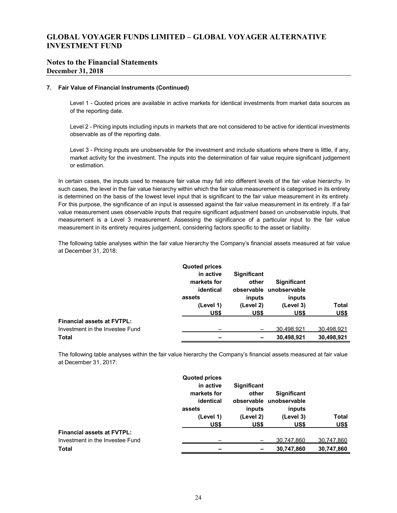## **Notes to the Financial Statements December 31, 2018**

#### **7. Fair Value of Financial Instruments (Continued)**

Level 1 - Quoted prices are available in active markets for identical investments from market data sources as of the reporting date.

Level 2 - Pricing inputs including inputs in markets that are not considered to be active for identical investments observable as of the reporting date.

Level 3 - Pricing inputs are unobservable for the investment and include situations where there is little, if any, market activity for the investment. The inputs into the determination of fair value require significant judgement or estimation.

In certain cases, the inputs used to measure fair value may fall into different levels of the fair value hierarchy. In such cases, the level in the fair value hierarchy within which the fair value measurement is categorised in its entirety is determined on the basis of the lowest level input that is significant to the fair value measurement in its entirety. For this purpose, the significance of an input is assessed against the fair value measurement in its entirety. If a fair value measurement uses observable inputs that require significant adjustment based on unobservable inputs, that measurement is a Level 3 measurement. Assessing the significance of a particular input to the fair value measurement in its entirety requires judgement, considering factors specific to the asset or liability.

The following table analyses within the fair value hierarchy the Company's financial assets measured at fair value at December 31, 2018:

|                                   | <b>Quoted prices</b> |                    |                         |              |
|-----------------------------------|----------------------|--------------------|-------------------------|--------------|
|                                   | in active            | <b>Significant</b> |                         |              |
|                                   | markets for          | other              | <b>Significant</b>      |              |
|                                   | identical            |                    | observable unobservable |              |
|                                   | assets               | inputs             | inputs                  |              |
|                                   | (Level 1)            | (Level 2)          | (Level 3)               | <b>Total</b> |
|                                   | US\$                 | US\$               | US\$                    | US\$         |
| <b>Financial assets at FVTPL:</b> |                      |                    |                         |              |
| Investment in the Investee Fund   |                      |                    | 30,498,921              | 30,498,921   |
| <b>Total</b>                      |                      |                    | 30,498,921              | 30,498,921   |

The following table analyses within the fair value hierarchy the Company's financial assets measured at fair value at December 31, 2017:

|                                   | <b>Quoted prices</b> |                    |                         |              |
|-----------------------------------|----------------------|--------------------|-------------------------|--------------|
|                                   | in active            | <b>Significant</b> |                         |              |
|                                   | markets for          | other              | <b>Significant</b>      |              |
|                                   | identical            |                    | observable unobservable |              |
|                                   | assets               | inputs             | inputs                  |              |
|                                   | (Level 1)            | (Level 2)          | (Level 3)               | <b>Total</b> |
|                                   | US\$                 | US\$               | US\$                    | <b>US\$</b>  |
| <b>Financial assets at FVTPL:</b> |                      |                    |                         |              |
| Investment in the Investee Fund   |                      |                    | 30,747,860              | 30,747,860   |
| <b>Total</b>                      |                      |                    | 30,747,860              | 30,747,860   |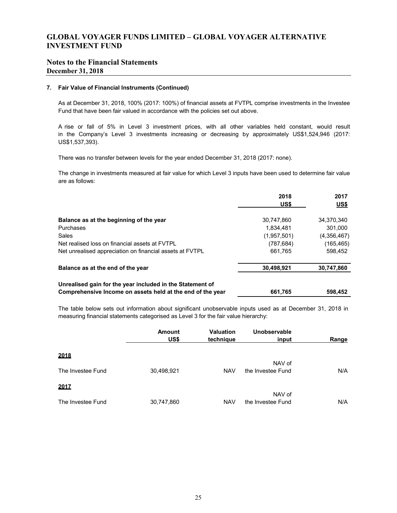## **Notes to the Financial Statements December 31, 2018**

### **7. Fair Value of Financial Instruments (Continued)**

As at December 31, 2018, 100% (2017: 100%) of financial assets at FVTPL comprise investments in the Investee Fund that have been fair valued in accordance with the policies set out above.

A rise or fall of 5% in Level 3 investment prices, with all other variables held constant, would result in the Company's Level 3 investments increasing or decreasing by approximately US\$1,524,946 (2017: US\$1,537,393).

There was no transfer between levels for the year ended December 31, 2018 (2017: none).

The change in investments measured at fair value for which Level 3 inputs have been used to determine fair value are as follows:

|                                                                                                                         | 2018        | 2017        |
|-------------------------------------------------------------------------------------------------------------------------|-------------|-------------|
|                                                                                                                         | US\$        | US\$        |
| Balance as at the beginning of the year                                                                                 | 30,747,860  | 34,370,340  |
| Purchases                                                                                                               | 1.834.481   | 301.000     |
| Sales                                                                                                                   | (1,957,501) | (4,356,467) |
| Net realised loss on financial assets at FVTPL                                                                          | (787,684)   | (165, 465)  |
| Net unrealised appreciation on financial assets at FVTPL                                                                | 661,765     | 598.452     |
| Balance as at the end of the year                                                                                       | 30,498,921  | 30,747,860  |
| Unrealised gain for the year included in the Statement of<br>Comprehensive Income on assets held at the end of the year | 661.765     | 598.452     |

The table below sets out information about significant unobservable inputs used as at December 31, 2018 in measuring financial statements categorised as Level 3 for the fair value hierarchy:

|                   | <b>Amount</b><br>US\$ | <b>Valuation</b><br>technique | Unobservable<br>input       | <b>Range</b> |
|-------------------|-----------------------|-------------------------------|-----------------------------|--------------|
| 2018              |                       |                               |                             |              |
| The Investee Fund | 30,498,921            | <b>NAV</b>                    | NAV of<br>the Investee Fund | N/A          |
| 2017              |                       |                               |                             |              |
| The Investee Fund | 30,747,860            | <b>NAV</b>                    | NAV of<br>the Investee Fund | N/A          |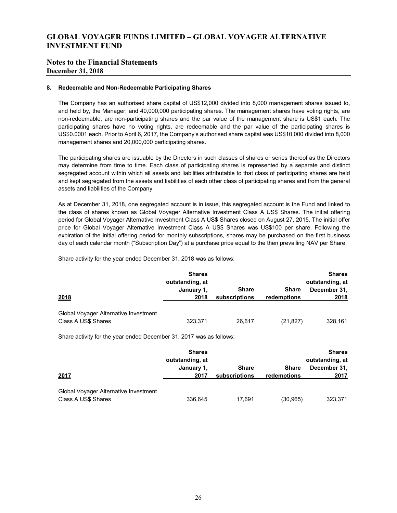## **Notes to the Financial Statements December 31, 2018**

#### **8. Redeemable and Non-Redeemable Participating Shares**

The Company has an authorised share capital of US\$12,000 divided into 8,000 management shares issued to, and held by, the Manager; and 40,000,000 participating shares. The management shares have voting rights, are non-redeemable, are non-participating shares and the par value of the management share is US\$1 each. The participating shares have no voting rights, are redeemable and the par value of the participating shares is US\$0.0001 each. Prior to April 6, 2017, the Company's authorised share capital was US\$10,000 divided into 8,000 management shares and 20,000,000 participating shares.

The participating shares are issuable by the Directors in such classes of shares or series thereof as the Directors may determine from time to time. Each class of participating shares is represented by a separate and distinct segregated account within which all assets and liabilities attributable to that class of participating shares are held and kept segregated from the assets and liabilities of each other class of participating shares and from the general assets and liabilities of the Company.

As at December 31, 2018, one segregated account is in issue, this segregated account is the Fund and linked to the class of shares known as Global Voyager Alternative Investment Class A US\$ Shares. The initial offering period for Global Voyager Alternative Investment Class A US\$ Shares closed on August 27, 2015. The initial offer price for Global Voyager Alternative Investment Class A US\$ Shares was US\$100 per share. Following the expiration of the initial offering period for monthly subscriptions, shares may be purchased on the first business day of each calendar month ("Subscription Day") at a purchase price equal to the then prevailing NAV per Share.

Share activity for the year ended December 31, 2018 was as follows:

| 2018                                                         | <b>Shares</b><br>outstanding, at<br>January 1,<br>2018 | <b>Share</b><br>subscriptions | <b>Share</b><br>redemptions | <b>Shares</b><br>outstanding, at<br>December 31,<br>2018 |
|--------------------------------------------------------------|--------------------------------------------------------|-------------------------------|-----------------------------|----------------------------------------------------------|
| Global Voyager Alternative Investment<br>Class A US\$ Shares | 323,371                                                | 26.617                        | (21, 827)                   | 328,161                                                  |

Share activity for the year ended December 31, 2017 was as follows:

| 2017                                                         | <b>Shares</b><br>outstanding, at<br>January 1,<br>2017 | <b>Share</b><br>subscriptions | <b>Share</b><br>redemptions | <b>Shares</b><br>outstanding, at<br>December 31,<br>2017 |
|--------------------------------------------------------------|--------------------------------------------------------|-------------------------------|-----------------------------|----------------------------------------------------------|
| Global Voyager Alternative Investment<br>Class A US\$ Shares | 336,645                                                | 17.691                        | (30, 965)                   | 323,371                                                  |